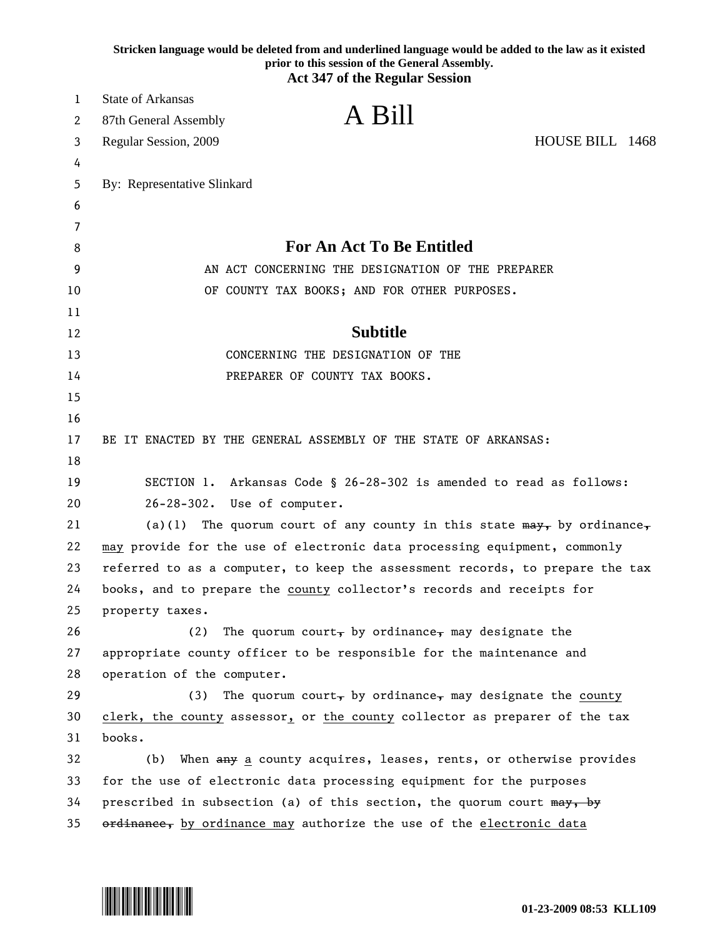|        | Stricken language would be deleted from and underlined language would be added to the law as it existed<br>prior to this session of the General Assembly. |
|--------|-----------------------------------------------------------------------------------------------------------------------------------------------------------|
|        | <b>Act 347 of the Regular Session</b>                                                                                                                     |
| 1      | <b>State of Arkansas</b><br>A Bill                                                                                                                        |
| 2      | 87th General Assembly                                                                                                                                     |
| 3      | HOUSE BILL 1468<br>Regular Session, 2009                                                                                                                  |
| 4      |                                                                                                                                                           |
| 5      | By: Representative Slinkard                                                                                                                               |
| 6      |                                                                                                                                                           |
| 7<br>8 | <b>For An Act To Be Entitled</b>                                                                                                                          |
| 9      | AN ACT CONCERNING THE DESIGNATION OF THE PREPARER                                                                                                         |
| 10     | OF COUNTY TAX BOOKS; AND FOR OTHER PURPOSES.                                                                                                              |
| 11     |                                                                                                                                                           |
| 12     | <b>Subtitle</b>                                                                                                                                           |
| 13     | CONCERNING THE DESIGNATION OF THE                                                                                                                         |
| 14     | PREPARER OF COUNTY TAX BOOKS.                                                                                                                             |
| 15     |                                                                                                                                                           |
| 16     |                                                                                                                                                           |
| 17     | BE IT ENACTED BY THE GENERAL ASSEMBLY OF THE STATE OF ARKANSAS:                                                                                           |
| 18     |                                                                                                                                                           |
| 19     | SECTION 1. Arkansas Code § 26-28-302 is amended to read as follows:                                                                                       |
| 20     | Use of computer.<br>$26 - 28 - 302$ .                                                                                                                     |
| 21     | The quorum court of any county in this state $\frac{m}{x}$ by ordinance,<br>(a)(1)                                                                        |
| 22     | may provide for the use of electronic data processing equipment, commonly                                                                                 |
| 23     | referred to as a computer, to keep the assessment records, to prepare the tax                                                                             |
| 24     | books, and to prepare the county collector's records and receipts for                                                                                     |
| 25     | property taxes.                                                                                                                                           |
| 26     | The quorum court, by ordinance, may designate the<br>(2)                                                                                                  |
| 27     | appropriate county officer to be responsible for the maintenance and                                                                                      |
| 28     | operation of the computer.                                                                                                                                |
| 29     | The quorum court, by ordinance, may designate the county<br>(3)                                                                                           |
| 30     | clerk, the county assessor, or the county collector as preparer of the tax                                                                                |
| 31     | books.                                                                                                                                                    |
| 32     | When any a county acquires, leases, rents, or otherwise provides<br>(b)                                                                                   |
| 33     | for the use of electronic data processing equipment for the purposes                                                                                      |
| 34     | prescribed in subsection (a) of this section, the quorum court may, by                                                                                    |
| 35     | ordinance, by ordinance may authorize the use of the electronic data                                                                                      |